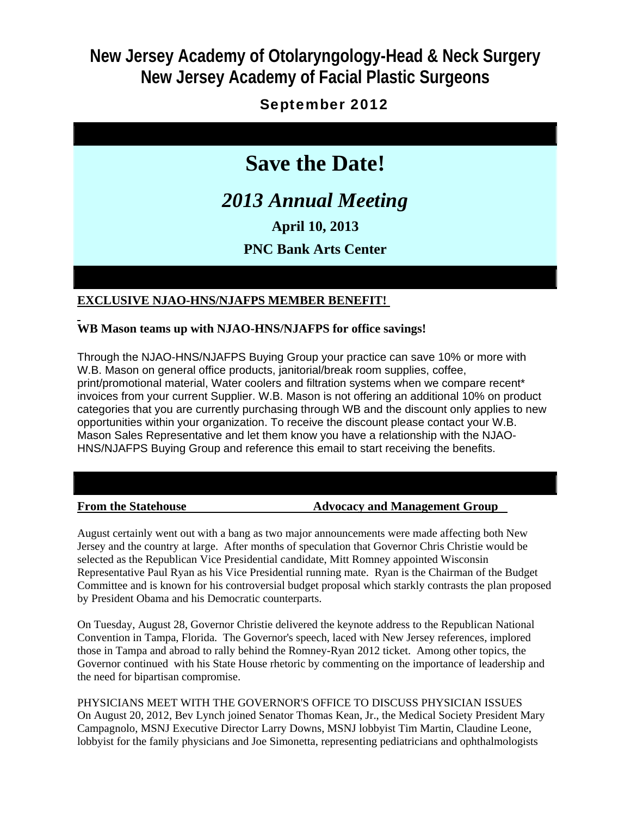# **New Jersey Academy of Otolaryngology-Head & Neck Surgery New Jersey Academy of Facial Plastic Surgeons**

## September 2012

# **Save the Date!**

# *2013 Annual Meeting*

**April 10, 2013**

## **PNC Bank Arts Center**

### **EXCLUSIVE NJAO-HNS/NJAFPS MEMBER BENEFIT!**

#### **WB Mason teams up with NJAO-HNS/NJAFPS for office savings!**

Through the NJAO-HNS/NJAFPS Buying Group your practice can save 10% or more with W.B. Mason on general office products, janitorial/break room supplies, coffee, print/promotional material, Water coolers and filtration systems when we compare recent\* invoices from your current Supplier. W.B. Mason is not offering an additional 10% on product categories that you are currently purchasing through WB and the discount only applies to new opportunities within your organization. To receive the discount please contact your W.B. Mason Sales Representative and let them know you have a relationship with the NJAO-HNS/NJAFPS Buying Group and reference this email to start receiving the benefits.

#### **From the Statehouse The Statehouse Advocacy and Management Group**

August certainly went out with a bang as two major announcements were made affecting both New Jersey and the country at large. After months of speculation that Governor Chris Christie would be selected as the Republican Vice Presidential candidate, Mitt Romney appointed Wisconsin Representative Paul Ryan as his Vice Presidential running mate. Ryan is the Chairman of the Budget Committee and is known for his controversial budget proposal which starkly contrasts the plan proposed by President Obama and his Democratic counterparts.

On Tuesday, August 28, Governor Christie delivered the keynote address to the Republican National Convention in Tampa, Florida. The Governor's speech, laced with New Jersey references, implored those in Tampa and abroad to rally behind the Romney-Ryan 2012 ticket. Among other topics, the Governor continued with his State House rhetoric by commenting on the importance of leadership and the need for bipartisan compromise.

PHYSICIANS MEET WITH THE GOVERNOR'S OFFICE TO DISCUSS PHYSICIAN ISSUES On August 20, 2012, Bev Lynch joined Senator Thomas Kean, Jr., the Medical Society President Mary Campagnolo, MSNJ Executive Director Larry Downs, MSNJ lobbyist Tim Martin, Claudine Leone, lobbyist for the family physicians and Joe Simonetta, representing pediatricians and ophthalmologists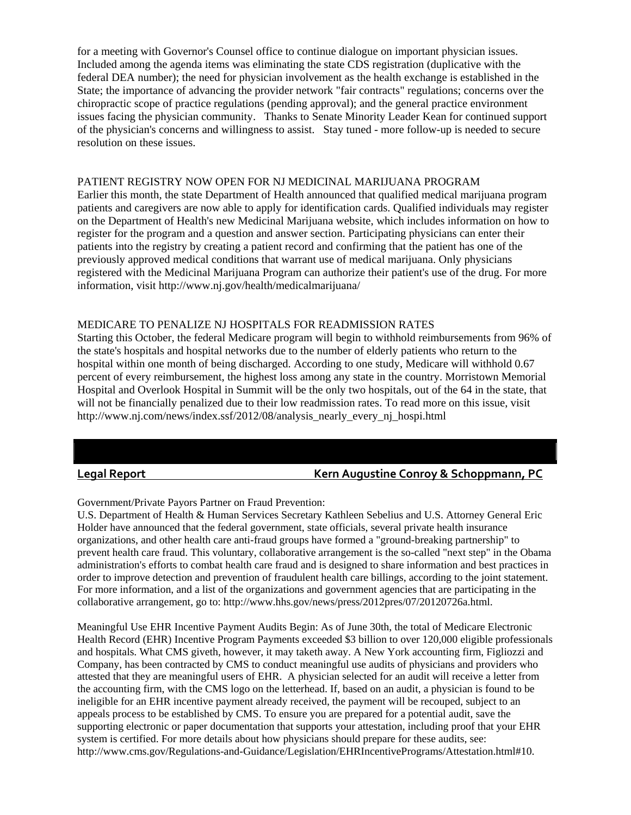for a meeting with Governor's Counsel office to continue dialogue on important physician issues. Included among the agenda items was eliminating the state CDS registration (duplicative with the federal DEA number); the need for physician involvement as the health exchange is established in the State; the importance of advancing the provider network "fair contracts" regulations; concerns over the chiropractic scope of practice regulations (pending approval); and the general practice environment issues facing the physician community. Thanks to Senate Minority Leader Kean for continued support of the physician's concerns and willingness to assist. Stay tuned - more follow-up is needed to secure resolution on these issues.

#### PATIENT REGISTRY NOW OPEN FOR NJ MEDICINAL MARIJUANA PROGRAM

Earlier this month, the state Department of Health announced that qualified medical marijuana program patients and caregivers are now able to apply for identification cards. Qualified individuals may register on the Department of Health's new Medicinal Marijuana website, which includes information on how to register for the program and a question and answer section. Participating physicians can enter their patients into the registry by creating a patient record and confirming that the patient has one of the previously approved medical conditions that warrant use of medical marijuana. Only physicians registered with the Medicinal Marijuana Program can authorize their patient's use of the drug. For more information, visit http://www.nj.gov/health/medicalmarijuana/

#### MEDICARE TO PENALIZE NJ HOSPITALS FOR READMISSION RATES

Starting this October, the federal Medicare program will begin to withhold reimbursements from 96% of the state's hospitals and hospital networks due to the number of elderly patients who return to the hospital within one month of being discharged. According to one study, Medicare will withhold 0.67 percent of every reimbursement, the highest loss among any state in the country. Morristown Memorial Hospital and Overlook Hospital in Summit will be the only two hospitals, out of the 64 in the state, that will not be financially penalized due to their low readmission rates. To read more on this issue, visit http://www.nj.com/news/index.ssf/2012/08/analysis\_nearly\_every\_nj\_hospi.html

#### **Legal Report Kern Augustine Conroy & Schoppmann, PC**

Government/Private Payors Partner on Fraud Prevention:

U.S. Department of Health & Human Services Secretary Kathleen Sebelius and U.S. Attorney General Eric Holder have announced that the federal government, state officials, several private health insurance organizations, and other health care anti-fraud groups have formed a "ground-breaking partnership" to prevent health care fraud. This voluntary, collaborative arrangement is the so-called "next step" in the Obama administration's efforts to combat health care fraud and is designed to share information and best practices in order to improve detection and prevention of fraudulent health care billings, according to the joint statement. For more information, and a list of the organizations and government agencies that are participating in the collaborative arrangement, go to: http://www.hhs.gov/news/press/2012pres/07/20120726a.html.

Meaningful Use EHR Incentive Payment Audits Begin: As of June 30th, the total of Medicare Electronic Health Record (EHR) Incentive Program Payments exceeded \$3 billion to over 120,000 eligible professionals and hospitals. What CMS giveth, however, it may taketh away. A New York accounting firm, Figliozzi and Company, has been contracted by CMS to conduct meaningful use audits of physicians and providers who attested that they are meaningful users of EHR. A physician selected for an audit will receive a letter from the accounting firm, with the CMS logo on the letterhead. If, based on an audit, a physician is found to be ineligible for an EHR incentive payment already received, the payment will be recouped, subject to an appeals process to be established by CMS. To ensure you are prepared for a potential audit, save the supporting electronic or paper documentation that supports your attestation, including proof that your EHR system is certified. For more details about how physicians should prepare for these audits, see: http://www.cms.gov/Regulations-and-Guidance/Legislation/EHRIncentivePrograms/Attestation.html#10.